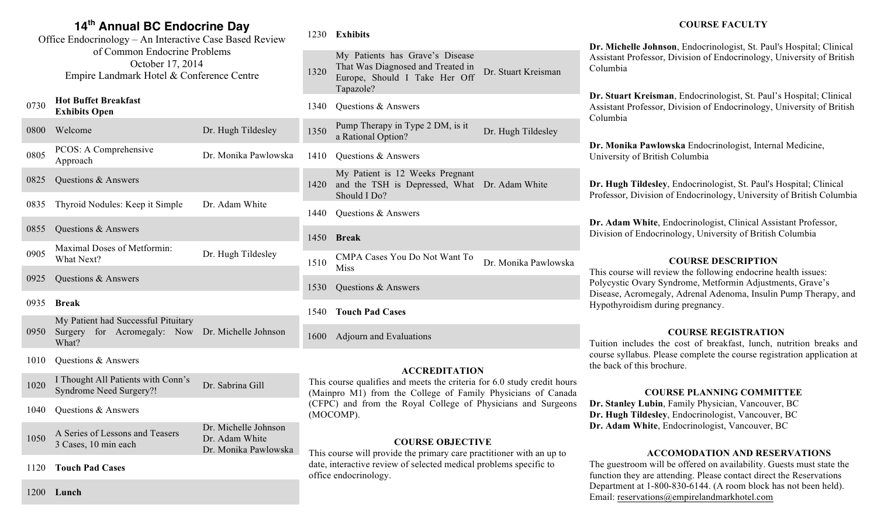# **14th Annual BC Endocrine Day**

Office Endocrinology – An Interactive Case Based Review of Common Endocrine Problems October 17, 2014 Empire Landmark Hotel & Conference Centre

#### <sup>0730</sup> **Hot Buffet Breakfast Exhibits Open**

| 0800 | Welcome                                   | Dr. Hugh Tildesley   |
|------|-------------------------------------------|----------------------|
| 0805 | PCOS: A Comprehensive<br>Approach         | Dr. Monika Pawlowska |
| 0825 | Questions & Answers                       |                      |
| 0835 | Thyroid Nodules: Keep it Simple           | Dr. Adam White       |
| 0855 | Questions & Answers                       |                      |
| 0905 | Maximal Doses of Metformin:<br>What Next? | Dr. Hugh Tildesley   |
| 0925 | Questions & Answers                       |                      |

#### 0935 **Break**

| My Patient had Successful Pituitary |  |  |  |                                                       |
|-------------------------------------|--|--|--|-------------------------------------------------------|
|                                     |  |  |  | 0950 Surgery for Acromegaly: Now Dr. Michelle Johnson |
| What?                               |  |  |  |                                                       |

- 1010 Ouestions & Answers
- 1020 I Thought All Patients with Conn's Syndrome Need Surgery?! Dr. Sabrina Gill
- 1040 Questions & Answers

| 1050 | A Series of Lessons and Teasers | Dr. Michelle Johnson |
|------|---------------------------------|----------------------|
|      | 3 Cases, 10 min each            | Dr. Adam White       |
|      |                                 | Dr. Monika Pawlowska |

1120 **Touch Pad Cases**

#### 1230 **Exhibits**

1320 My Patients has Grave's Disease That Was Diagnosed and Treated in Europe, Should I Take Her Off Tapazole? Dr. Stuart Kreisman

1340 Questions & Answers

- 1350 Pump Therapy in Type 2 DM, is it Pump Therapy in Type 2 DIM, is it<br>a Rational Option?<br>Dr. Hugh Tildesley
- 1410 Questions & Answers
- 1420 and the TSH is Depressed, What Dr. Adam White My Patient is 12 Weeks Pregnant Should I Do?
- 1440 Questions & Answers
- 1450 **Break**
- 1510 CMPA Cases You Do Not Want To<br>Miss Dr. Monika Pawlowska
- 1530 Questions & Answers
- 1540 **Touch Pad Cases**

1600 Adjourn and Evaluations

## **ACCREDITATION**

This course qualifies and meets the criteria for 6.0 study credit hours (Mainpro M1) from the College of Family Physicians of Canada (CFPC) and from the Royal College of Physicians and Surgeons (MOCOMP).

## **COURSE OBJECTIVE**

This course will provide the primary care practitioner with an up to date, interactive review of selected medical problems specific to office endocrinology.

# **COURSE FACULTY**

**Dr. Michelle Johnson**, Endocrinologist, St. Paul's Hospital; Clinical Assistant Professor, Division of Endocrinology, University of British Columbia

**Dr. Stuart Kreisman**, Endocrinologist, St. Paul's Hospital; Clinical Assistant Professor, Division of Endocrinology, University of British Columbia

**Dr. Monika Pawlowska** Endocrinologist, Internal Medicine, University of British Columbia

**Dr. Hugh Tildesley**, Endocrinologist, St. Paul's Hospital; Clinical Professor, Division of Endocrinology, University of British Columbia

**Dr. Adam White**, Endocrinologist, Clinical Assistant Professor, Division of Endocrinology, University of British Columbia

#### **COURSE DESCRIPTION**

This course will review the following endocrine health issues: Polycystic Ovary Syndrome, Metformin Adjustments, Grave's Disease, Acromegaly, Adrenal Adenoma, Insulin Pump Therapy, and Hypothyroidism during pregnancy.

## **COURSE REGISTRATION**

Tuition includes the cost of breakfast, lunch, nutrition breaks and course syllabus. Please complete the course registration application at the back of this brochure.

#### **COURSE PLANNING COMMITTEE**

**Dr. Stanley Lubin**, Family Physician, Vancouver, BC **Dr. Hugh Tildesley**, Endocrinologist, Vancouver, BC **Dr. Adam White**, Endocrinologist, Vancouver, BC

## **ACCOMODATION AND RESERVATIONS**

The guestroom will be offered on availability. Guests must state the function they are attending. Please contact direct the Reservations Department at 1-800-830-6144. (A room block has not been held). Email: reservations@empirelandmarkhotel.com

1200 **Lunch**